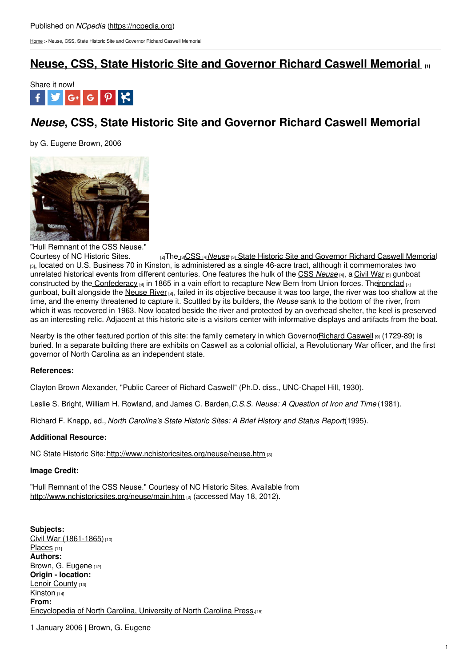[Home](https://ncpedia.org/) > Neuse, CSS, State Historic Site and Governor Richard Caswell Memorial

# **Neuse, CSS, State Historic Site and [Governor](https://ncpedia.org/neuse-css-state-historic-site-and-g) Richard Caswell Memorial [1]**



# *Neuse***, CSS, State Historic Site and Governor Richard Caswell Memorial**

by G. Eugene Brown, 2006



"Hull Remnant of the CSS Neuse."<br>Courtesy of NC Historic Sites. [2] Th[e](http://www.nchistoricsites.org/neuse/neuse.htm) [3] [CSS](https://ncpedia.org/neuse-css) [4] [Neuse](http://www.nchistoricsites.org/neuse/neuse.htm) [3] State Historic Site and [Governor](http://www.nchistoricsites.org/neuse/neuse.htm) Richard Caswell Memorial [3], located on U.S. Business 70 in Kinston, is administered as a single 46-acre tract, although it commemorates two unrelated historical events from different centuries. One features the hulk of the CSS *[Neuse](https://ncpedia.org/neuse-css)* [4], a [Civil](https://ncpedia.org/civil-war) War [5] gunboat constructed by the [Confederacy](https://ncpedia.org/confederate-party) [6] in 1865 in a vain effort to recapture New Bern from Union forces. Th[eironclad](https://ncpedia.org/ironclads)  $|7|$ gunboat, built alongside the [Neuse](https://ncpedia.org/rivers/neuse) River [8], failed in its objective because it was too large, the river was too shallow at the time, and the enemy threatened to capture it. Scuttled by its builders, the *Neuse* sank to the bottom of the river, from which it was recovered in 1963. Now located beside the river and protected by an overhead shelter, the keel is preserved as an interesting relic. Adjacent at this historic site is a visitors center with informative displays and artifacts from the boat.

Nearby is the other featured portion of this site: the family cemetery in which Governo[rRichard](https://ncpedia.org/caswell-richard-research-branch-nc) Caswell [9] (1729-89) is buried. In a separate building there are exhibits on Caswell as a colonial official, a Revolutionary War officer, and the first governor of North Carolina as an independent state.

## **References:**

Clayton Brown Alexander, "Public Career of Richard Caswell" (Ph.D. diss., UNC-Chapel Hill, 1930).

Leslie S. Bright, William H. Rowland, and James C. Barden,*C.S.S. Neuse: A Question of Iron and Time* (1981).

Richard F. Knapp, ed., *North Carolina's State Historic Sites: A Brief History and Status Report*(1995).

## **Additional Resource:**

NC State Historic Site: <http://www.nchistoricsites.org/neuse/neuse.htm> [3]

### **Image Credit:**

"Hull Remnant of the CSS Neuse." Courtesy of NC Historic Sites. Available from <http://www.nchistoricsites.org/neuse/main.htm> [2] (accessed May 18, 2012).

**Subjects:** Civil War [\(1861-1865\)](https://ncpedia.org/category/subjects/civil-war) [10] [Places](https://ncpedia.org/category/subjects/places) [11] **Authors:** Brown, G. [Eugene](https://ncpedia.org/category/authors/brown-g-eugene) [12] **Origin - location:** Lenoir [County](https://ncpedia.org/category/origin-location/coastal-13) [13] [Kinston](https://ncpedia.org/category/origin-location/coastal-42) [14] **From:** [Encyclopedia](https://ncpedia.org/category/entry-source/encyclopedia-) of North Carolina, University of North Carolina Press.[15]

1 January 2006 | Brown, G. Eugene